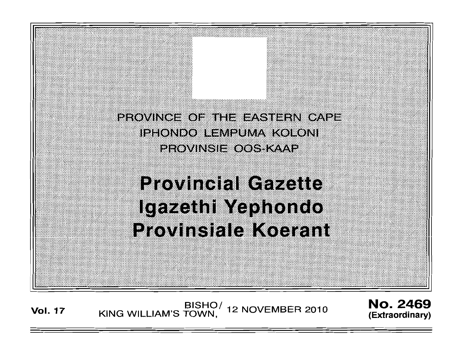PROVINCE OF THE EASTERN CAPE IPHONDO LEMPUMA KOLONI PROVINSIE OOS KAAP

**Provincial Gazette Igazethi Yephondo Provinsiale Koerant** 

BISHO/ 12 NOVEMBER 2010<br>KING WILLIAM'S TOWN,

**No. 2469** (Extraordinary)

**Vol. 17**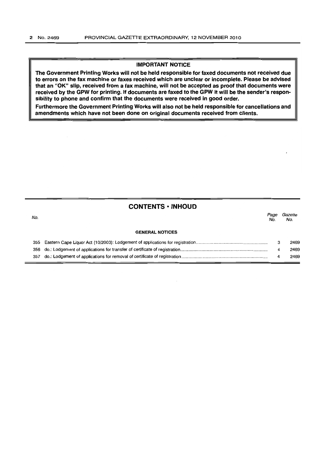### IMPORTANT NOTICE

The Government Printing Works will not be held responsible for faxed documents not received due to errors on the fax machine or faxes received which are unclear or incomplete. Please be advised that an "OK" Slip, received from a fax machine, will not be accepted as proof that documents were received by the GPW for printing. If documents are faxed to the GPW it will be the sender's responsibility to phone and confirm that the documents were received in good order.

Furthermore the Government Printing Works will also not be held responsible for cancellations and amendments which have not been done on original documents received from clients.

# **CONTENTS • INHOUD**

| No. |                        | Page<br>No. | Gazette<br>No. |
|-----|------------------------|-------------|----------------|
|     | <b>GENERAL NOTICES</b> |             |                |
|     |                        | з           | 2469           |
|     |                        | 4           | 2469           |
|     |                        | 4           | 2469           |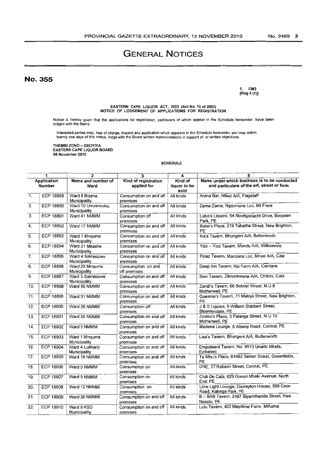# **GENERAL NOTICES**

No. 355

1. eM3 [Reg 4 (1)]

EASTERN CAPE LIQUOR ACT, 2003 (Act No. 10 of 2003) NOTICE OF LODGEMENT OF. APPLICATIONS FOR REGISTRATION

Notice is hereby given that the applications for registration, particulars of which appear in the Schedule hereunder, have been lodged with the Board.

Interested parties may, free of charge, inspect any application which appears in the Schedule hereunder and may within<br>twenty one days of this notice, lodge with the Board written representations in support of, or written

THEMBI ZONO - GXOYIYA EASTERN CAPE LIQUOR BOARD 05 November 2010

#### SCHEDULE

| 1                            |                  | $\overline{2}$     | 3                                  | 4                    | 5                                                                                          |  |
|------------------------------|------------------|--------------------|------------------------------------|----------------------|--------------------------------------------------------------------------------------------|--|
| <b>Application</b><br>Number |                  | Name and number of | Kind of registration               | Kind of              | Name under which business is to be conducted<br>and particulars of the erf, street or farm |  |
|                              |                  | Ward               | applied for                        | liquor to be<br>sold |                                                                                            |  |
| $\overline{1}$ .             | <b>ECP 18889</b> | Ward 8 Bizana      | Consumption on and off             | All kinds            | Arena Bar, Ntlezi A/A, Flagstaff                                                           |  |
|                              |                  | Municipality       | premises                           |                      |                                                                                            |  |
| $\overline{2}$ .             | <b>ECP 18890</b> | Ward 10 Umzimvubu  | Consumption on and off             | All kinds            | Zama Zama, Nggumane Loc, Mt Frere                                                          |  |
|                              |                  | Municipality       | premises                           |                      |                                                                                            |  |
| $\overline{3}$ .             | <b>ECP 18891</b> | Ward 41 NMMM       | Consumption off                    | All kinds            | Lubo's Liquors, 54 Nooitgedacht Drive, Booysen                                             |  |
|                              |                  |                    | premises                           |                      | Park, PE                                                                                   |  |
| 4.                           | <b>ECP 18892</b> | Ward 17 NMMM       | Consumption on and off             | All kinds            | Babe's Place, 219 Tabatha Street, New Brighton,                                            |  |
|                              |                  |                    | premises                           |                      | PE                                                                                         |  |
| $\overline{5}$ .             | <b>ECP 18893</b> | Ward 1 Mnquma      | Consumption on and off             | All kinds            | Iva's Tavern, Bhungeni A/A, Butterworth                                                    |  |
|                              |                  | Municipality       | premises                           |                      |                                                                                            |  |
| 6.                           | <b>ECP 18894</b> | Ward 21 Mbashe     | Consumption on and off             | All kinds            | Yizo - Yizo Tavern, Mendu A/A, Willowvale                                                  |  |
|                              |                  | Municipality       | premises                           |                      |                                                                                            |  |
| $\overline{7}$ .             | <b>ECP 18895</b> | Ward 4 Sakhisizwe  | Consumption on and off             | All kinds            | Polaz Tavern, Manzana Loc, Mnxe A/A, Cala                                                  |  |
|                              |                  | Municipality       | premises                           |                      |                                                                                            |  |
| $\overline{8}$ .             | <b>ECP 18896</b> | Ward 29 Mnquma     | Consumption on and                 | All kinds            | Deep Inn Tavern, Kei Farm A/A, Centane                                                     |  |
|                              |                  | Municipality       | off premises                       |                      |                                                                                            |  |
| $\overline{9}$ .             | <b>ECP 18897</b> | Ward 3 Sakhisizwe  | Consumption on and off             | All kinds            | Sive Tavern, Zikhonkwane A/A, Chibini, Cala                                                |  |
|                              |                  | Municipality       | premises                           |                      |                                                                                            |  |
| 10.                          | <b>ECP 18898</b> | Ward 56 NMMM       | Consumption on and off             | All kinds            | Zandi's Tavern, 66 Boboyi Street, N.U.8<br>Motherwell, PE                                  |  |
| $\overline{11}$ .            | <b>ECP 18899</b> |                    | premises                           | All kinds            | Queenie's Tavern, 71 Mabija Street, New Brighton,                                          |  |
|                              |                  | Ward 31 NMMM       | Consumption on and off<br>premises |                      | PE                                                                                         |  |
| 12.                          | <b>ECP 18900</b> | Ward 35 NMMM       | Consumption off                    | All kinds            | J & S Liquors, 9 William Slabbert Street,                                                  |  |
|                              |                  |                    | premises                           |                      | Bloemendale, PE                                                                            |  |
| 13.                          | <b>ECP 18901</b> | Ward 55 NMMM       | Consumption on and off             | All kinds            | Zoleka's Place, 3 Palanga Street, N.U.10                                                   |  |
|                              |                  |                    | premises                           |                      | Motherwell, PE                                                                             |  |
| 14.                          | <b>ECP 18902</b> | Ward 5 NMMM        | Consumption on and off             | All kinds            | Madeira Lounge, 6 Albany Road, Central, PE                                                 |  |
|                              |                  |                    | premises                           |                      |                                                                                            |  |
| 15.                          | ECP 18903        | Ward 1 Mnquma      | Consumption on and off             | All kinds            | Lisa's Tavern, Bhungeni A/A, Butterworth                                                   |  |
|                              |                  | Municipality       | premises                           |                      |                                                                                            |  |
| 16.                          | <b>ECP 18904</b> | Ward 4 Lukhanji    | Consumption on and off             | All kinds            | Empolweni Tavern, No. 9513 Unathi Mkefa,                                                   |  |
|                              |                  | Municipality       | premises                           |                      | Ezibeleni                                                                                  |  |
| $\overline{17}$ .            | <b>ECP 18905</b> | Ward 18 NMMM       | Consumption on and off             | All kinds            | Ta Mbu's Place, 61692 Senior Street, Greenfields,                                          |  |
|                              |                  |                    | premises                           |                      | PE                                                                                         |  |
| 18.                          | <b>ECP 18906</b> | Ward 5 NMMM        | Consumption on                     | All kinds            | DNE, 17 Robson Street, Central, PE                                                         |  |
|                              |                  |                    | premises                           |                      |                                                                                            |  |
| 19.                          | <b>ECP 18907</b> | Ward 5 NMMM        | Consumption on                     | All kinds            | Club De Catz, 629 Govan Mbeki Avenue, North                                                |  |
|                              |                  |                    | premises                           |                      | End, PE                                                                                    |  |
| 20.                          | <b>ECP 18908</b> | Ward 12 NMMM       | Consumption on                     | All kinds            | Lime Light Lounge, Davrayton House, 599 Cape                                               |  |
|                              |                  |                    | premises                           |                      | Road, Kabega Park, PE                                                                      |  |
| $\overline{21}$              | <b>ECP 18909</b> | Ward 38 NMMM       | Consumption on and off             | All kinds            | B - BAB Tavern, 2497 Siyamthanda Street, Kwa                                               |  |
|                              |                  |                    | premises                           |                      | Noxolo, PE<br>Lulu Tavern, 403 Maydene Farm, Mthatha                                       |  |
| 22.                          | <b>ECP 18910</b> | Ward 9 KSD         | Consumption on and off             | All kinds            |                                                                                            |  |
|                              |                  | Municipality       | premises                           |                      |                                                                                            |  |